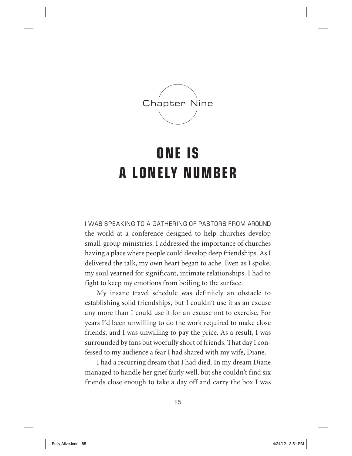

I WAS SPEAKING TO A GATHERING OF PASTORS FROM AROUND the world at a conference designed to help churches develop small-group ministries. I addressed the importance of churches having a place where people could develop deep friendships. As I delivered the talk, my own heart began to ache. Even as I spoke, my soul yearned for significant, intimate relationships. I had to fight to keep my emotions from boiling to the surface.

My insane travel schedule was definitely an obstacle to establishing solid friendships, but I couldn't use it as an excuse any more than I could use it for an excuse not to exercise. For years I'd been unwilling to do the work required to make close friends, and I was unwilling to pay the price. As a result, I was surrounded by fans but woefully short of friends. That day I confessed to my audience a fear I had shared with my wife, Diane.

I had a recurring dream that I had died. In my dream Diane managed to handle her grief fairly well, but she couldn't find six friends close enough to take a day off and carry the box I was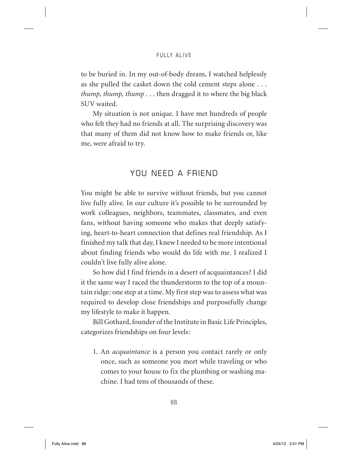to be buried in. In my out-of-body dream, I watched helplessly as she pulled the casket down the cold cement steps alone . . . *thump, thump, thump* . . . then dragged it to where the big black SUV waited.

My situation is not unique. I have met hundreds of people who felt they had no friends at all. The surprising discovery was that many of them did not know how to make friends or, like me, were afraid to try.

# YOU NEED A FRIEND

You might be able to survive without friends, but you cannot live fully alive. In our culture it's possible to be surrounded by work colleagues, neighbors, teammates, classmates, and even fans, without having someone who makes that deeply satisfying, heart-to-heart connection that defines real friendship. As I finished my talk that day, I knew I needed to be more intentional about finding friends who would do life with me. I realized I couldn't live fully alive alone.

So how did I find friends in a desert of acquaintances? I did it the same way I raced the thunderstorm to the top of a mountain ridge: one step at a time. My first step was to assess what was required to develop close friendships and purposefully change my lifestyle to make it happen.

Bill Gothard, founder of the Institute in Basic Life Principles, categorizes friendships on four levels:

1. An *acquaintance* is a person you contact rarely or only once, such as someone you meet while traveling or who comes to your house to fix the plumbing or washing machine. I had tens of thousands of these.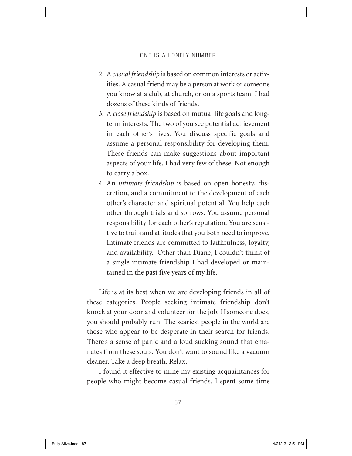- 2. A *casual friendship* is based on common interests or activities. A casual friend may be a person at work or someone you know at a club, at church, or on a sports team. I had dozens of these kinds of friends.
- 3. A *close friendship* is based on mutual life goals and longterm interests. The two of you see potential achievement in each other's lives. You discuss specific goals and assume a personal responsibility for developing them. These friends can make suggestions about important aspects of your life. I had very few of these. Not enough to carry a box.
- 4. An *intimate friendship* is based on open honesty, discretion, and a commitment to the development of each other's character and spiritual potential. You help each other through trials and sorrows. You assume personal responsibility for each other's reputation. You are sensitive to traits and attitudes that you both need to improve. Intimate friends are committed to faithfulness, loyalty, and availability.<sup>1</sup> Other than Diane, I couldn't think of a single intimate friendship I had developed or maintained in the past five years of my life.

Life is at its best when we are developing friends in all of these categories. People seeking intimate friendship don't knock at your door and volunteer for the job. If someone does, you should probably run. The scariest people in the world are those who appear to be desperate in their search for friends. There's a sense of panic and a loud sucking sound that emanates from these souls. You don't want to sound like a vacuum cleaner. Take a deep breath. Relax.

I found it effective to mine my existing acquaintances for people who might become casual friends. I spent some time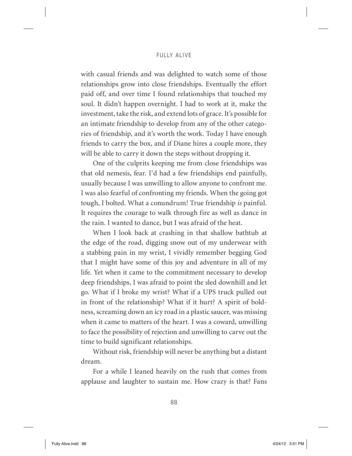with casual friends and was delighted to watch some of those relationships grow into close friendships. Eventually the effort paid off, and over time I found relationships that touched my soul. It didn't happen overnight. I had to work at it, make the investment, take the risk, and extend lots of grace. It's possible for an intimate friendship to develop from any of the other categories of friendship, and it's worth the work. Today I have enough friends to carry the box, and if Diane hires a couple more, they will be able to carry it down the steps without dropping it.

One of the culprits keeping me from close friendships was that old nemesis, fear. I'd had a few friendships end painfully, usually because I was unwilling to allow anyone to confront me. I was also fearful of confronting my friends. When the going got tough, I bolted. What a conundrum! True friendship *is* painful. It requires the courage to walk through fire as well as dance in the rain. I wanted to dance, but I was afraid of the heat.

When I look back at crashing in that shallow bathtub at the edge of the road, digging snow out of my underwear with a stabbing pain in my wrist, I vividly remember begging God that I might have some of this joy and adventure in all of my life. Yet when it came to the commitment necessary to develop deep friendships, I was afraid to point the sled downhill and let go. What if I broke my wrist? What if a UPS truck pulled out in front of the relationship? What if it hurt? A spirit of boldness, screaming down an icy road in a plastic saucer, was missing when it came to matters of the heart. I was a coward, unwilling to face the possibility of rejection and unwilling to carve out the time to build significant relationships.

Without risk, friendship will never be anything but a distant dream.

For a while I leaned heavily on the rush that comes from applause and laughter to sustain me. How crazy is that? Fans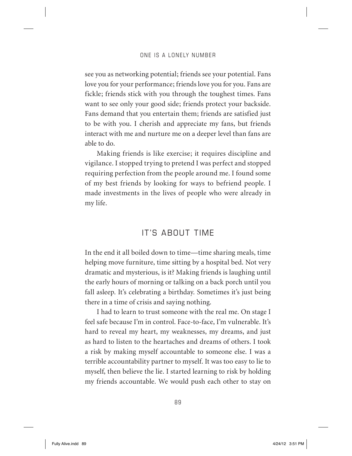see you as networking potential; friends see your potential. Fans love you for your performance; friends love you for you. Fans are fickle; friends stick with you through the toughest times. Fans want to see only your good side; friends protect your backside. Fans demand that you entertain them; friends are satisfied just to be with you. I cherish and appreciate my fans, but friends interact with me and nurture me on a deeper level than fans are able to do.

Making friends is like exercise; it requires discipline and vigilance. I stopped trying to pretend I was perfect and stopped requiring perfection from the people around me. I found some of my best friends by looking for ways to befriend people. I made investments in the lives of people who were already in my life.

# IT'S ABOUT TIME

In the end it all boiled down to time—time sharing meals, time helping move furniture, time sitting by a hospital bed. Not very dramatic and mysterious, is it? Making friends is laughing until the early hours of morning or talking on a back porch until you fall asleep. It's celebrating a birthday. Sometimes it's just being there in a time of crisis and saying nothing.

I had to learn to trust someone with the real me. On stage I feel safe because I'm in control. Face-to-face, I'm vulnerable. It's hard to reveal my heart, my weaknesses, my dreams, and just as hard to listen to the heartaches and dreams of others. I took a risk by making myself accountable to someone else. I was a terrible accountability partner to myself. It was too easy to lie to myself, then believe the lie. I started learning to risk by holding my friends accountable. We would push each other to stay on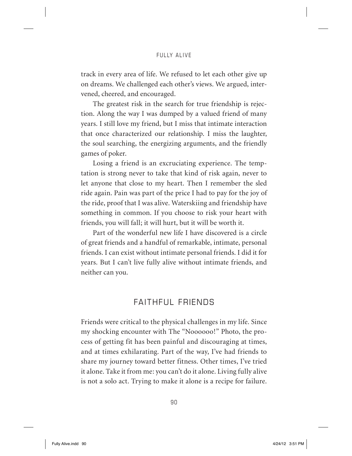track in every area of life. We refused to let each other give up on dreams. We challenged each other's views. We argued, intervened, cheered, and encouraged.

The greatest risk in the search for true friendship is rejection. Along the way I was dumped by a valued friend of many years. I still love my friend, but I miss that intimate interaction that once characterized our relationship. I miss the laughter, the soul searching, the energizing arguments, and the friendly games of poker.

Losing a friend is an excruciating experience. The temptation is strong never to take that kind of risk again, never to let anyone that close to my heart. Then I remember the sled ride again. Pain was part of the price I had to pay for the joy of the ride, proof that I was alive. Waterskiing and friendship have something in common. If you choose to risk your heart with friends, you will fall; it will hurt, but it will be worth it.

Part of the wonderful new life I have discovered is a circle of great friends and a handful of remarkable, intimate, personal friends. I can exist without intimate personal friends. I did it for years. But I can't live fully alive without intimate friends, and neither can you.

# FAITHFUL FRIENDS

Friends were critical to the physical challenges in my life. Since my shocking encounter with The "Noooooo!" Photo, the process of getting fit has been painful and discouraging at times, and at times exhilarating. Part of the way, I've had friends to share my journey toward better fitness. Other times, I've tried it alone. Take it from me: you can't do it alone. Living fully alive is not a solo act. Trying to make it alone is a recipe for failure.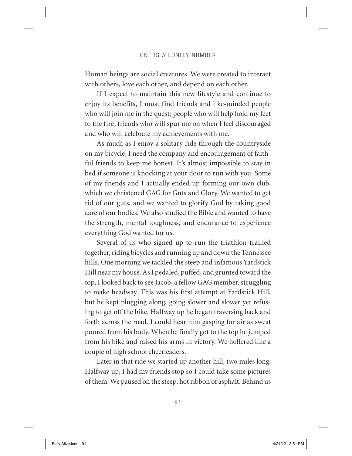Human beings are social creatures. We were created to interact with others, love each other, and depend on each other.

If I expect to maintain this new lifestyle and continue to enjoy its benefits, I must find friends and like-minded people who will join me in the quest; people who will help hold my feet to the fire; friends who will spur me on when I feel discouraged and who will celebrate my achievements with me.

As much as I enjoy a solitary ride through the countryside on my bicycle, I need the company and encouragement of faithful friends to keep me honest. It's almost impossible to stay in bed if someone is knocking at your door to run with you. Some of my friends and I actually ended up forming our own club, which we christened GAG for Guts and Glory. We wanted to get rid of our guts, and we wanted to glorify God by taking good care of our bodies. We also studied the Bible and wanted to have the strength, mental toughness, and endurance to experience everything God wanted for us.

Several of us who signed up to run the triathlon trained together, riding bicycles and running up and down the Tennessee hills. One morning we tackled the steep and infamous Yardstick Hill near my house. As I pedaled, puffed, and grunted toward the top, I looked back to see Jacob, a fellow GAG member, struggling to make headway. This was his first attempt at Yardstick Hill, but he kept plugging along, going slower and slower yet refusing to get off the bike. Halfway up he began traversing back and forth across the road. I could hear him gasping for air as sweat poured from his body. When he finally got to the top he jumped from his bike and raised his arms in victory. We hollered like a couple of high school cheerleaders.

Later in that ride we started up another hill, two miles long. Halfway up, I had my friends stop so I could take some pictures of them. We paused on the steep, hot ribbon of asphalt. Behind us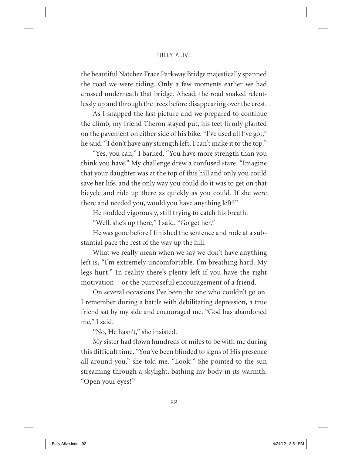the beautiful Natchez Trace Parkway Bridge majestically spanned the road we were riding. Only a few moments earlier we had crossed underneath that bridge. Ahead, the road snaked relentlessly up and through the trees before disappearing over the crest.

As I snapped the last picture and we prepared to continue the climb, my friend Theron stayed put, his feet firmly planted on the pavement on either side of his bike. "I've used all I've got," he said. "I don't have any strength left. I can't make it to the top."

"Yes, you can," I barked. "You have more strength than you think you have." My challenge drew a confused stare. "Imagine that your daughter was at the top of this hill and only you could save her life, and the only way you could do it was to get on that bicycle and ride up there as quickly as you could. If she were there and needed you, would you have anything left?"

He nodded vigorously, still trying to catch his breath.

"Well, she's up there," I said. "Go get her."

He was gone before I finished the sentence and rode at a substantial pace the rest of the way up the hill.

What we really mean when we say we don't have anything left is, "I'm extremely uncomfortable. I'm breathing hard. My legs hurt." In reality there's plenty left if you have the right motivation—or the purposeful encouragement of a friend.

On several occasions I've been the one who couldn't go on. I remember during a battle with debilitating depression, a true friend sat by my side and encouraged me. "God has abandoned me," I said.

"No, He hasn't," she insisted.

My sister had flown hundreds of miles to be with me during this difficult time. "You've been blinded to signs of His presence all around you," she told me. "Look!" She pointed to the sun streaming through a skylight, bathing my body in its warmth. "Open your eyes!"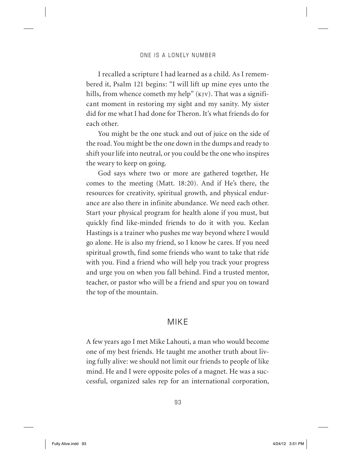I recalled a scripture I had learned as a child. As I remembered it, Psalm 121 begins: "I will lift up mine eyes unto the hills, from whence cometh my help" (KJV). That was a significant moment in restoring my sight and my sanity. My sister did for me what I had done for Theron. It's what friends do for each other.

You might be the one stuck and out of juice on the side of the road. You might be the one down in the dumps and ready to shift your life into neutral, or you could be the one who inspires the weary to keep on going.

God says where two or more are gathered together, He comes to the meeting (Matt. 18:20). And if He's there, the resources for creativity, spiritual growth, and physical endurance are also there in infinite abundance. We need each other. Start your physical program for health alone if you must, but quickly find like-minded friends to do it with you. Keelan Hastings is a trainer who pushes me way beyond where I would go alone. He is also my friend, so I know he cares. If you need spiritual growth, find some friends who want to take that ride with you. Find a friend who will help you track your progress and urge you on when you fall behind. Find a trusted mentor, teacher, or pastor who will be a friend and spur you on toward the top of the mountain.

# **MIKE**

A few years ago I met Mike Lahouti, a man who would become one of my best friends. He taught me another truth about living fully alive: we should not limit our friends to people of like mind. He and I were opposite poles of a magnet. He was a successful, organized sales rep for an international corporation,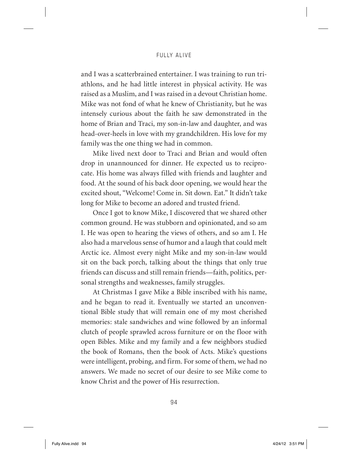## FIII IY ALIVE

and I was a scatterbrained entertainer. I was training to run triathlons, and he had little interest in physical activity. He was raised as a Muslim, and I was raised in a devout Christian home. Mike was not fond of what he knew of Christianity, but he was intensely curious about the faith he saw demonstrated in the home of Brian and Traci, my son-in-law and daughter, and was head-over-heels in love with my grandchildren. His love for my family was the one thing we had in common.

Mike lived next door to Traci and Brian and would often drop in unannounced for dinner. He expected us to reciprocate. His home was always filled with friends and laughter and food. At the sound of his back door opening, we would hear the excited shout, "Welcome! Come in. Sit down. Eat." It didn't take long for Mike to become an adored and trusted friend.

Once I got to know Mike, I discovered that we shared other common ground. He was stubborn and opinionated, and so am I. He was open to hearing the views of others, and so am I. He also had a marvelous sense of humor and a laugh that could melt Arctic ice. Almost every night Mike and my son-in-law would sit on the back porch, talking about the things that only true friends can discuss and still remain friends—faith, politics, personal strengths and weaknesses, family struggles.

At Christmas I gave Mike a Bible inscribed with his name, and he began to read it. Eventually we started an unconventional Bible study that will remain one of my most cherished memories: stale sandwiches and wine followed by an informal clutch of people sprawled across furniture or on the floor with open Bibles. Mike and my family and a few neighbors studied the book of Romans, then the book of Acts. Mike's questions were intelligent, probing, and firm. For some of them, we had no answers. We made no secret of our desire to see Mike come to know Christ and the power of His resurrection.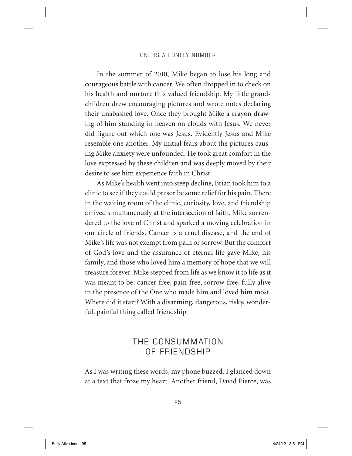In the summer of 2010, Mike began to lose his long and courageous battle with cancer. We often dropped in to check on his health and nurture this valued friendship. My little grandchildren drew encouraging pictures and wrote notes declaring their unabashed love. Once they brought Mike a crayon drawing of him standing in heaven on clouds with Jesus. We never did figure out which one was Jesus. Evidently Jesus and Mike resemble one another. My initial fears about the pictures causing Mike anxiety were unfounded. He took great comfort in the love expressed by these children and was deeply moved by their desire to see him experience faith in Christ.

As Mike's health went into steep decline, Brian took him to a clinic to see if they could prescribe some relief for his pain. There in the waiting room of the clinic, curiosity, love, and friendship arrived simultaneously at the intersection of faith. Mike surrendered to the love of Christ and sparked a moving celebration in our circle of friends. Cancer is a cruel disease, and the end of Mike's life was not exempt from pain or sorrow. But the comfort of God's love and the assurance of eternal life gave Mike, his family, and those who loved him a memory of hope that we will treasure forever. Mike stepped from life as we know it to life as it was meant to be: cancer-free, pain-free, sorrow-free, fully alive in the presence of the One who made him and loved him most. Where did it start? With a disarming, dangerous, risky, wonderful, painful thing called friendship.

# THE CONSUMMATION OF FRIENDSHIP

As I was writing these words, my phone buzzed. I glanced down at a text that froze my heart. Another friend, David Pierce, was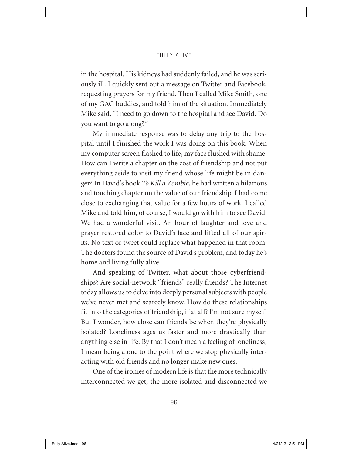in the hospital. His kidneys had suddenly failed, and he was seriously ill. I quickly sent out a message on Twitter and Facebook, requesting prayers for my friend. Then I called Mike Smith, one of my GAG buddies, and told him of the situation. Immediately Mike said, "I need to go down to the hospital and see David. Do you want to go along?"

My immediate response was to delay any trip to the hospital until I finished the work I was doing on this book. When my computer screen flashed to life, my face flushed with shame. How can I write a chapter on the cost of friendship and not put everything aside to visit my friend whose life might be in danger? In David's book *To Kill a Zombie*, he had written a hilarious and touching chapter on the value of our friendship. I had come close to exchanging that value for a few hours of work. I called Mike and told him, of course, I would go with him to see David. We had a wonderful visit. An hour of laughter and love and prayer restored color to David's face and lifted all of our spirits. No text or tweet could replace what happened in that room. The doctors found the source of David's problem, and today he's home and living fully alive.

And speaking of Twitter, what about those cyberfriendships? Are social-network "friends" really friends? The Internet today allows us to delve into deeply personal subjects with people we've never met and scarcely know. How do these relationships fit into the categories of friendship, if at all? I'm not sure myself. But I wonder, how close can friends be when they're physically isolated? Loneliness ages us faster and more drastically than anything else in life. By that I don't mean a feeling of loneliness; I mean being alone to the point where we stop physically interacting with old friends and no longer make new ones.

One of the ironies of modern life is that the more technically interconnected we get, the more isolated and disconnected we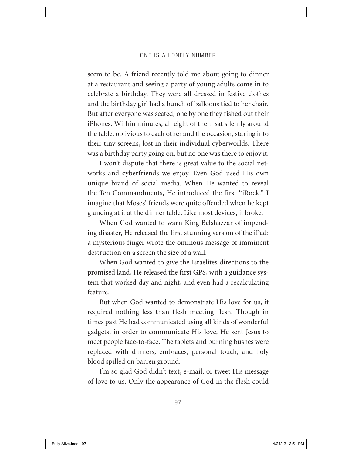seem to be. A friend recently told me about going to dinner at a restaurant and seeing a party of young adults come in to celebrate a birthday. They were all dressed in festive clothes and the birthday girl had a bunch of balloons tied to her chair. But after everyone was seated, one by one they fished out their iPhones. Within minutes, all eight of them sat silently around the table, oblivious to each other and the occasion, staring into their tiny screens, lost in their individual cyberworlds. There was a birthday party going on, but no one was there to enjoy it.

I won't dispute that there is great value to the social networks and cyberfriends we enjoy. Even God used His own unique brand of social media. When He wanted to reveal the Ten Commandments, He introduced the first "iRock." I imagine that Moses' friends were quite offended when he kept glancing at it at the dinner table. Like most devices, it broke.

When God wanted to warn King Belshazzar of impending disaster, He released the first stunning version of the iPad: a mysterious finger wrote the ominous message of imminent destruction on a screen the size of a wall.

When God wanted to give the Israelites directions to the promised land, He released the first GPS, with a guidance system that worked day and night, and even had a recalculating feature.

But when God wanted to demonstrate His love for us, it required nothing less than flesh meeting flesh. Though in times past He had communicated using all kinds of wonderful gadgets, in order to communicate His love, He sent Jesus to meet people face-to-face. The tablets and burning bushes were replaced with dinners, embraces, personal touch, and holy blood spilled on barren ground.

I'm so glad God didn't text, e-mail, or tweet His message of love to us. Only the appearance of God in the flesh could